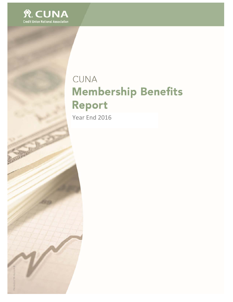

# CUNA **Membership Benefits** Report

Year End 2016

**SOUTHERN**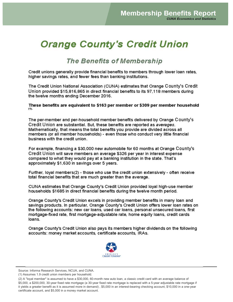## **Orange County's Credit Union**

### **The Benefits of Membership**

Credit unions generally provide financial benefits to members through lower loan rates, higher savings rates, and fewer fees than banking institutions.

The Credit Union National Association (CUNA) estimates that Orange County's Credit Union provided \$15,816,865 in direct financial benefits to its 97,118 members during the twelve months ending December 2016.

These benefits are equivalent to \$163 per member or \$309 per member household  $(1)$ .

The per-member and per-household member benefits delivered by Orange County's Credit Union are substantial. But, these benefits are reported as averages. Mathematically, that means the total benefits you provide are divided across all members (or all member households) - even those who conduct very little financial business with the credit union.

For example, financing a \$30,000 new automobile for 60 months at Orange County's Credit Union will save members an average \$326 per year in interest expense compared to what they would pay at a banking institution in the state. That's approximately \$1,630 in savings over 5 years.

Further, loyal members(2) - those who use the credit union extensively - often receive total financial benefits that are much greater than the average.

CUNA estimates that Orange County's Credit Union provided loyal high-use member households \$1685 in direct financial benefits during the twelve month period.

Orange County's Credit Union excels in providing member benefits in many loan and savings products. In particular, Orange County's Credit Union offers lower loan rates on the following accounts: new car loans, used car loans, personal unsecured loans, first mortgage-fixed rate, first mortgage-adjustable rate, home equity loans, credit cards loans.

Orange County's Credit Union also pays its members higher dividends on the following accounts: money market accounts, certificate accounts, IRAs.



Source: Informa Research Services, NCUA, and CUNA.

<sup>(1)</sup> Assumes 1.9 credit union members per household.

<sup>(2)</sup> A "loyal member" is assumed to have a \$30,000, 60-month new auto loan, a classic credit card with an average balance of \$5,000, a \$200,000, 30-year fixed rate mortgage (a 30-year fixed rate mortgage is replaced with a 5-year adjustable rate mortgage if it yields a greater benefit as it is assumed more in demand), \$5,000 in an interest-bearing checking account, \$10,000 in a one-year certificate account, and \$5,000 in a money market account.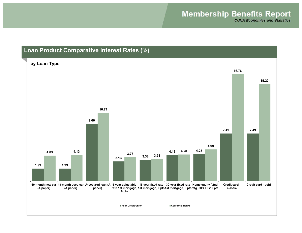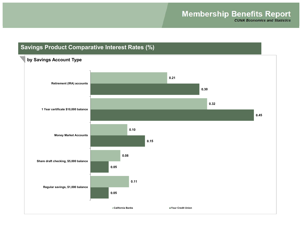### **Savings Product Comparative Interest Rates (%)**

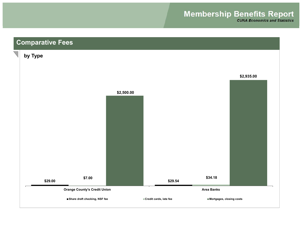## **Membership Benefits Report**

**CUNA Economics and Statistics** 

## **Comparative Fees**

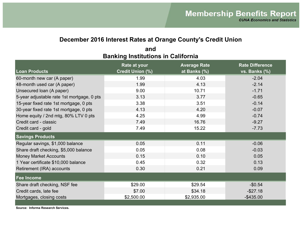#### **December 2016 Interest Rates at Orange County's Credit Union**

| <b>Loan Products</b>                       | <b>Rate at your</b><br><b>Credit Union (%)</b> | <b>Average Rate</b><br>at Banks (%) | <b>Rate Difference</b><br>vs. Banks (%) |
|--------------------------------------------|------------------------------------------------|-------------------------------------|-----------------------------------------|
| 60-month new car (A paper)                 | 1.99                                           | 4.03                                | $-2.04$                                 |
| 48-month used car (A paper)                | 1.99                                           | 4.13                                | $-2.14$                                 |
| Unsecured Ioan (A paper)                   | 9.00                                           | 10.71                               | $-1.71$                                 |
| 5-year adjustable rate 1st mortgage, 0 pts | 3.13                                           | 3.77                                | $-0.65$                                 |
| 15-year fixed rate 1st mortgage, 0 pts     | 3.38                                           | 3.51                                | $-0.14$                                 |
| 30-year fixed rate 1st mortgage, 0 pts     | 4.13                                           | 4.20                                | $-0.07$                                 |
| Home equity / 2nd mtg, 80% LTV 0 pts       | 4.25                                           | 4.99                                | $-0.74$                                 |
| Credit card - classic                      | 7.49                                           | 16.76                               | $-9.27$                                 |
| Credit card - gold                         | 7.49                                           | 15.22                               | $-7.73$                                 |
| <b>Savings Products</b>                    |                                                |                                     |                                         |
| Regular savings, \$1,000 balance           | 0.05                                           | 0.11                                | $-0.06$                                 |
| Share draft checking, \$5,000 balance      | 0.05                                           | 0.08                                | $-0.03$                                 |
| <b>Money Market Accounts</b>               | 0.15                                           | 0.10                                | 0.05                                    |
| 1 Year certificate \$10,000 balance        | 0.45                                           | 0.32                                | 0.13                                    |
| Retirement (IRA) accounts                  | 0.30                                           | 0.21                                | 0.09                                    |
| <b>Fee Income</b>                          |                                                |                                     |                                         |
| Share draft checking, NSF fee              | \$29.00                                        | \$29.54                             | $-$0.54$                                |
| Credit cards, late fee                     | \$7.00                                         | \$34.18                             | $-$27.18$                               |
| Mortgages, closing costs                   | \$2,500.00                                     | \$2,935.00                          | $-$ \$435.00                            |

#### **Banking Institutions in California and**

**Source: Informa Research Services.**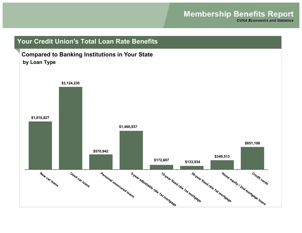**CUNA Economics and Statistics** 

## **Your Credit Union's Total Loan Rate Benefits**

#### **Compared to Banking Institutions in Your State by Loan Type**

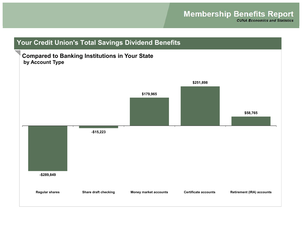**-\$289,849 -\$15,223 \$179,965 \$251,898 \$58,765**

**Regular shares Share draft checking Money market accounts Certificate accounts Retirement (IRA) accounts**

### **Your Credit Union's Total Savings Dividend Benefits**

#### **Compared to Banking Institutions in Your State by Account Type**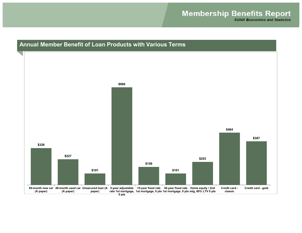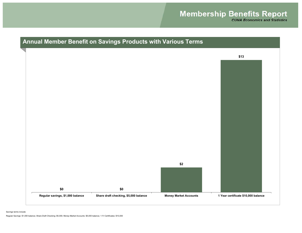

Savings terms include:

Regular Savings: \$1,000 balance; Share Draft Checking: \$5,000; Money Market Accounts: \$5,000 balance; 1-Yr Certificates: \$10,000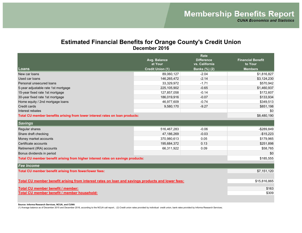#### **Estimated Financial Benefits for Orange County's Credit Union December 2016**

|                                                                                                  | Rate                    |                                     |                                     |  |
|--------------------------------------------------------------------------------------------------|-------------------------|-------------------------------------|-------------------------------------|--|
|                                                                                                  | Avg. Balance<br>at Your | <b>Difference</b><br>vs. California | <b>Financial Benefit</b><br>to Your |  |
| Loans                                                                                            | <b>Credit Union (1)</b> | Banks (%) (2)                       | <b>Members</b>                      |  |
| New car loans                                                                                    | 89,060,127              | $-2.04$                             | \$1,816,827                         |  |
| Used car loans                                                                                   | 146,265,472             | $-2.14$                             | \$3,124,230                         |  |
| Personal unsecured loans                                                                         | 33,329,972              | $-1.71$                             | \$570,942                           |  |
| 5-year adjustable rate 1st mortgage                                                              | 225,105,902             | $-0.65$                             | \$1,460,937                         |  |
| 15-year fixed rate 1st mortgage                                                                  | 127,857,058             | $-0.14$                             | \$172,607                           |  |
| 30-year fixed rate 1st mortgage                                                                  | 186,019,916             | $-0.07$                             | \$133,934                           |  |
| Home equity / 2nd mortgage loans                                                                 | 46,977,609              | $-0.74$                             | \$349,513                           |  |
| Credit cards                                                                                     | 9,580,170               | $-9.27$                             | \$851,198                           |  |
| Interest rebates                                                                                 |                         |                                     | \$0                                 |  |
| Total CU member benefits arising from lower interest rates on loan products:                     |                         |                                     | \$8,480,190                         |  |
| <b>Savings</b>                                                                                   |                         |                                     |                                     |  |
| Regular shares                                                                                   | 516,467,283             | $-0.06$                             | -\$289,849                          |  |
| Share draft checking                                                                             | 47,186,269              | $-0.03$                             | $-$15,223$                          |  |
| Money market accounts                                                                            | 370,980,613             | 0.05                                | \$179,965                           |  |
| Certificate accounts                                                                             | 195,684,372             | 0.13                                | \$251,898                           |  |
| Retirement (IRA) accounts                                                                        | 66,311,922              | 0.09                                | \$58,765                            |  |
| Bonus dividends in period                                                                        |                         |                                     | \$0                                 |  |
| Total CU member benefit arising from higher interest rates on savings products:                  |                         |                                     | \$185,555                           |  |
| <b>Fee Income</b>                                                                                |                         |                                     |                                     |  |
| Total CU member benefit arising from fewer/lower fees:                                           |                         |                                     | \$7,151,120                         |  |
|                                                                                                  |                         |                                     |                                     |  |
| Total CU member benefit arising from interest rates on loan and savings products and lower fees: | \$15,816,865            |                                     |                                     |  |
| Total CU member benefit / member:                                                                | \$163                   |                                     |                                     |  |
| Total CU member benefit / member household:                                                      |                         |                                     | \$309                               |  |
|                                                                                                  |                         |                                     |                                     |  |

**Source: Informa Research Services, NCUA, and CUNA**

(1) Average balance as of December 2015 and December 2016, according to the NCUA call report.; (2) Credit union rates provided by individual credit union, bank rates provided by Informa Research Services;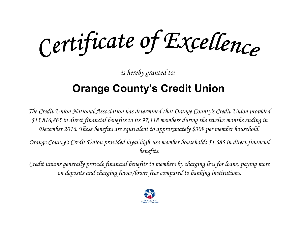Certificate of Excellence

*is hereby granted to:*

# **Orange County's Credit Union**

*The Credit Union National Association has determined that Orange County's Credit Union provided \$15,816,865 in direct financial benefits to its 97,118 members during the twelve months ending in December 2016. These benefits are equivalent to approximately \$309 per member household.*

*Orange County's Credit Union provided loyal high-use member households \$1,685 in direct financial benefits.*

*Credit unions generally provide financial benefits to members by charging less for loans, paying more on deposits and charging fewer/lower fees compared to banking institutions.*